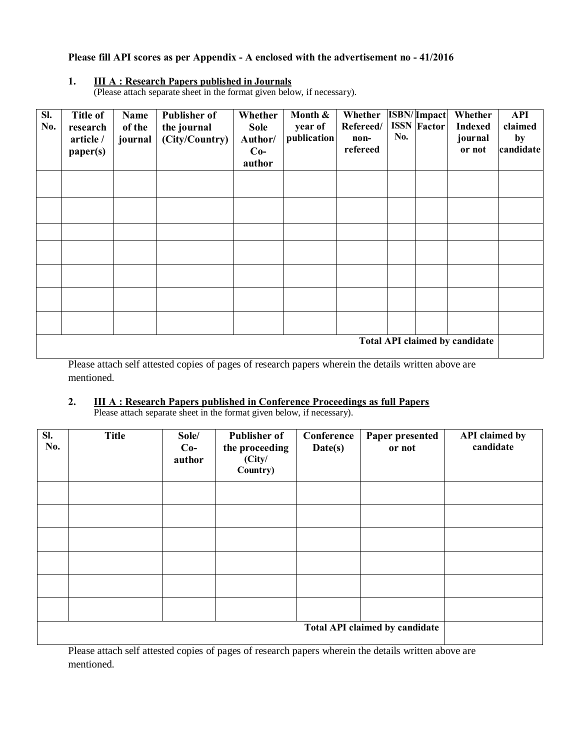#### **Please fill API scores as per Appendix - A enclosed with the advertisement no - 41/2016**

#### **1. III A : Research Papers published in Journals**

(Please attach separate sheet in the format given below, if necessary).

| SI.<br>No.                                                                                                                                                                                                                                                                         | <b>Title of</b><br>research<br>article /<br>paper(s) | Name<br>of the<br>journal | <b>Publisher of</b><br>the journal<br>(City/Country) | Whether<br><b>Sole</b><br>Author/<br>$Co-$<br>author | Month &<br>year of<br>publication | Whether<br>Refereed/<br>non-<br>refereed | No. | ISBN/Impact<br><b>ISSN</b> Factor | Whether<br><b>Indexed</b><br>journal<br>or not | <b>API</b><br>claimed<br>by<br>candidate |
|------------------------------------------------------------------------------------------------------------------------------------------------------------------------------------------------------------------------------------------------------------------------------------|------------------------------------------------------|---------------------------|------------------------------------------------------|------------------------------------------------------|-----------------------------------|------------------------------------------|-----|-----------------------------------|------------------------------------------------|------------------------------------------|
|                                                                                                                                                                                                                                                                                    |                                                      |                           |                                                      |                                                      |                                   |                                          |     |                                   |                                                |                                          |
|                                                                                                                                                                                                                                                                                    |                                                      |                           |                                                      |                                                      |                                   |                                          |     |                                   |                                                |                                          |
|                                                                                                                                                                                                                                                                                    |                                                      |                           |                                                      |                                                      |                                   |                                          |     |                                   |                                                |                                          |
|                                                                                                                                                                                                                                                                                    |                                                      |                           |                                                      |                                                      |                                   |                                          |     |                                   |                                                |                                          |
|                                                                                                                                                                                                                                                                                    |                                                      |                           |                                                      |                                                      |                                   |                                          |     |                                   |                                                |                                          |
|                                                                                                                                                                                                                                                                                    |                                                      |                           |                                                      |                                                      |                                   |                                          |     |                                   |                                                |                                          |
|                                                                                                                                                                                                                                                                                    |                                                      |                           |                                                      |                                                      |                                   |                                          |     |                                   |                                                |                                          |
| <b>Total API claimed by candidate</b><br>$\mathbf{D1}$ . The contract of $\mathbf{D}$ is a set of $\mathbf{D}$ is a set of interest of the contract of the set of the set of the set of the set of the set of the set of the set of the set of the set of the set of the set of th |                                                      |                           |                                                      |                                                      |                                   |                                          |     |                                   |                                                |                                          |

Please attach self attested copies of pages of research papers wherein the details written above are mentioned.

# **2. III A : Research Papers published in Conference Proceedings as full Papers**

Please attach separate sheet in the format given below, if necessary).

| SI.<br>No. | <b>Title</b> | Sole/<br>$Co-$<br>author | <b>Publisher of</b><br>the proceeding<br>(City/<br>Country) | Conference<br>Date(s) | Paper presented<br>or not             | <b>API</b> claimed by<br>candidate |
|------------|--------------|--------------------------|-------------------------------------------------------------|-----------------------|---------------------------------------|------------------------------------|
|            |              |                          |                                                             |                       |                                       |                                    |
|            |              |                          |                                                             |                       |                                       |                                    |
|            |              |                          |                                                             |                       |                                       |                                    |
|            |              |                          |                                                             |                       |                                       |                                    |
|            |              |                          |                                                             |                       |                                       |                                    |
|            |              |                          |                                                             |                       |                                       |                                    |
|            |              |                          |                                                             |                       | <b>Total API claimed by candidate</b> |                                    |

Please attach self attested copies of pages of research papers wherein the details written above are mentioned.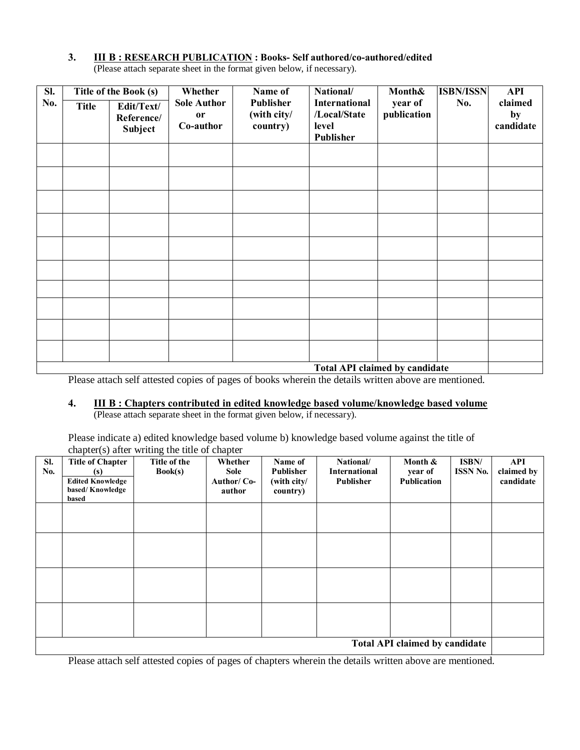## **3. III B : RESEARCH PUBLICATION : Books- Self authored/co-authored/edited**

(Please attach separate sheet in the format given below, if necessary).

| SI. | Title of the Book (s) |                                     | Whether                               | Name of                              | National/                                                         | Month&                 | <b>ISBN/ISSN</b> | API                        |
|-----|-----------------------|-------------------------------------|---------------------------------------|--------------------------------------|-------------------------------------------------------------------|------------------------|------------------|----------------------------|
| No. | <b>Title</b>          | Edit/Text/<br>Reference/<br>Subject | <b>Sole Author</b><br>or<br>Co-author | Publisher<br>(with city/<br>country) | <b>International</b><br>/Local/State<br>level<br><b>Publisher</b> | year of<br>publication | No.              | claimed<br>by<br>candidate |
|     |                       |                                     |                                       |                                      |                                                                   |                        |                  |                            |
|     |                       |                                     |                                       |                                      |                                                                   |                        |                  |                            |
|     |                       |                                     |                                       |                                      |                                                                   |                        |                  |                            |
|     |                       |                                     |                                       |                                      |                                                                   |                        |                  |                            |
|     |                       |                                     |                                       |                                      |                                                                   |                        |                  |                            |
|     |                       |                                     |                                       |                                      |                                                                   |                        |                  |                            |
|     |                       |                                     |                                       |                                      |                                                                   |                        |                  |                            |
|     |                       |                                     |                                       |                                      |                                                                   |                        |                  |                            |
|     |                       |                                     |                                       |                                      |                                                                   |                        |                  |                            |
|     |                       |                                     |                                       |                                      |                                                                   |                        |                  |                            |
|     |                       |                                     |                                       |                                      | <b>Total API claimed by candidate</b>                             |                        |                  |                            |

Please attach self attested copies of pages of books wherein the details written above are mentioned.

#### **4. III B : Chapters contributed in edited knowledge based volume/knowledge based volume**

(Please attach separate sheet in the format given below, if necessary).

Please indicate a) edited knowledge based volume b) knowledge based volume against the title of chapter(s) after writing the title of chapter

| SI.<br>No.                            | $\sim$ $\sim$<br><b>Title of Chapter</b><br>(s)<br><b>Edited Knowledge</b><br>based/Knowledge<br>based | ັ<br>Title of the<br>Book(s) | Whether<br>Sole<br>Author/Co-<br>author | Name of<br><b>Publisher</b><br>(with city/<br>country) | National/<br><b>International</b><br>Publisher | Month &<br>year of<br>Publication | ISBN/<br><b>ISSN No.</b> | API<br>claimed by<br>candidate |
|---------------------------------------|--------------------------------------------------------------------------------------------------------|------------------------------|-----------------------------------------|--------------------------------------------------------|------------------------------------------------|-----------------------------------|--------------------------|--------------------------------|
|                                       |                                                                                                        |                              |                                         |                                                        |                                                |                                   |                          |                                |
|                                       |                                                                                                        |                              |                                         |                                                        |                                                |                                   |                          |                                |
|                                       |                                                                                                        |                              |                                         |                                                        |                                                |                                   |                          |                                |
|                                       |                                                                                                        |                              |                                         |                                                        |                                                |                                   |                          |                                |
| <b>Total API claimed by candidate</b> |                                                                                                        |                              |                                         |                                                        |                                                |                                   |                          |                                |

Please attach self attested copies of pages of chapters wherein the details written above are mentioned.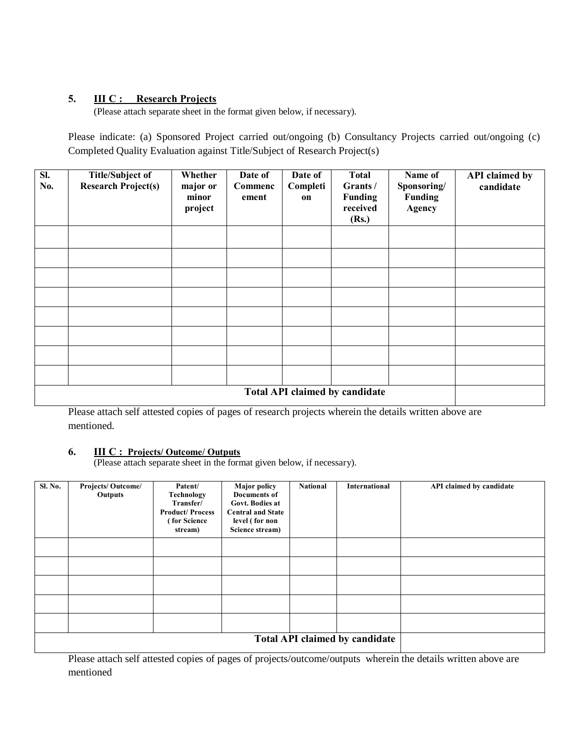### **5. III C : Research Projects**

(Please attach separate sheet in the format given below, if necessary).

Please indicate: (a) Sponsored Project carried out/ongoing (b) Consultancy Projects carried out/ongoing (c) Completed Quality Evaluation against Title/Subject of Research Project(s)

| SI.<br>No. | <b>Title/Subject of</b><br><b>Research Project(s)</b> | Whether<br>major or<br>minor<br>project | Date of<br>Commenc<br>ement | Date of<br>Completi<br>on | <b>Total</b><br>Grants /<br><b>Funding</b><br>received<br>(Rs.) | Name of<br>Sponsoring/<br>Funding<br>Agency | <b>API</b> claimed by<br>candidate |
|------------|-------------------------------------------------------|-----------------------------------------|-----------------------------|---------------------------|-----------------------------------------------------------------|---------------------------------------------|------------------------------------|
|            |                                                       |                                         |                             |                           |                                                                 |                                             |                                    |
|            |                                                       |                                         |                             |                           |                                                                 |                                             |                                    |
|            |                                                       |                                         |                             |                           |                                                                 |                                             |                                    |
|            |                                                       |                                         |                             |                           |                                                                 |                                             |                                    |
|            |                                                       |                                         |                             |                           |                                                                 |                                             |                                    |
|            |                                                       |                                         |                             |                           |                                                                 |                                             |                                    |
|            |                                                       |                                         |                             |                           |                                                                 |                                             |                                    |
|            |                                                       |                                         |                             |                           |                                                                 |                                             |                                    |
|            |                                                       |                                         |                             |                           |                                                                 |                                             |                                    |

Please attach self attested copies of pages of research projects wherein the details written above are mentioned.

#### **6. III C : Projects/ Outcome/ Outputs**

(Please attach separate sheet in the format given below, if necessary).

| Sl. No. | Projects/Outcome/<br>Outputs | Patent/<br><b>Technology</b><br>Transfer/<br><b>Product/Process</b><br>for Science<br>stream) | <b>Major policy</b><br><b>Documents of</b><br>Govt. Bodies at<br><b>Central and State</b><br>level (for non<br>Science stream) | <b>National</b> | <b>International</b> | API claimed by candidate |
|---------|------------------------------|-----------------------------------------------------------------------------------------------|--------------------------------------------------------------------------------------------------------------------------------|-----------------|----------------------|--------------------------|
|         |                              |                                                                                               |                                                                                                                                |                 |                      |                          |
|         |                              |                                                                                               |                                                                                                                                |                 |                      |                          |
|         |                              |                                                                                               |                                                                                                                                |                 |                      |                          |
|         |                              |                                                                                               |                                                                                                                                |                 |                      |                          |
|         |                              |                                                                                               |                                                                                                                                |                 |                      |                          |
|         |                              |                                                                                               |                                                                                                                                |                 |                      |                          |

Please attach self attested copies of pages of projects/outcome/outputs wherein the details written above are mentioned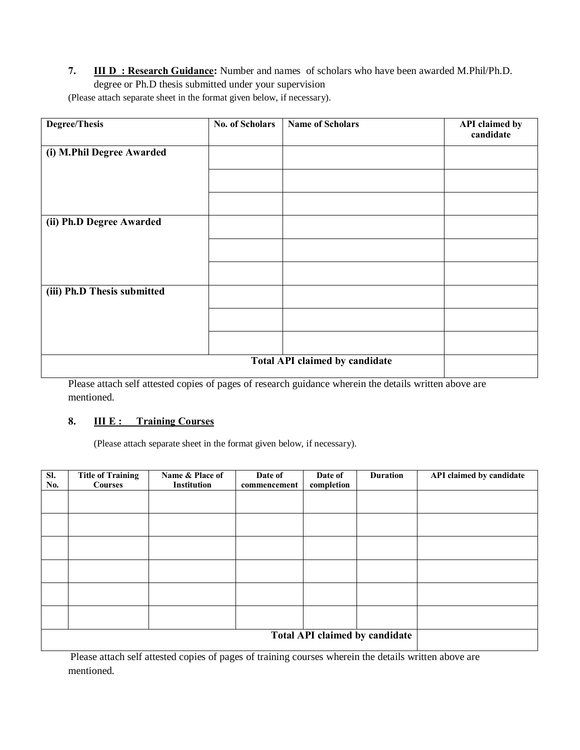**7. III D : Research Guidance:** Number and names of scholars who have been awarded M.Phil/Ph.D. degree or Ph.D thesis submitted under your supervision

(Please attach separate sheet in the format given below, if necessary).

| <b>Degree/Thesis</b>        | <b>No. of Scholars</b> | <b>Name of Scholars</b>               | <b>API</b> claimed by<br>candidate |
|-----------------------------|------------------------|---------------------------------------|------------------------------------|
| (i) M.Phil Degree Awarded   |                        |                                       |                                    |
|                             |                        |                                       |                                    |
|                             |                        |                                       |                                    |
|                             |                        |                                       |                                    |
| (ii) Ph.D Degree Awarded    |                        |                                       |                                    |
|                             |                        |                                       |                                    |
|                             |                        |                                       |                                    |
| (iii) Ph.D Thesis submitted |                        |                                       |                                    |
|                             |                        |                                       |                                    |
|                             |                        |                                       |                                    |
|                             |                        | <b>Total API claimed by candidate</b> |                                    |

Please attach self attested copies of pages of research guidance wherein the details written above are mentioned.

#### **8. III E : Training Courses**

(Please attach separate sheet in the format given below, if necessary).

| SI.<br>No. | <b>Title of Training</b><br><b>Courses</b> | Name & Place of<br>Institution | Date of<br>commencement | Date of<br>completion | <b>Duration</b> | API claimed by candidate |
|------------|--------------------------------------------|--------------------------------|-------------------------|-----------------------|-----------------|--------------------------|
|            |                                            |                                |                         |                       |                 |                          |
|            |                                            |                                |                         |                       |                 |                          |
|            |                                            |                                |                         |                       |                 |                          |
|            |                                            |                                |                         |                       |                 |                          |
|            |                                            |                                |                         |                       |                 |                          |
|            |                                            |                                |                         |                       |                 |                          |
|            |                                            |                                |                         |                       |                 |                          |
|            |                                            |                                |                         |                       |                 |                          |
|            |                                            |                                |                         |                       |                 |                          |
|            |                                            |                                |                         |                       |                 |                          |
|            |                                            |                                |                         |                       |                 |                          |

Please attach self attested copies of pages of training courses wherein the details written above are mentioned.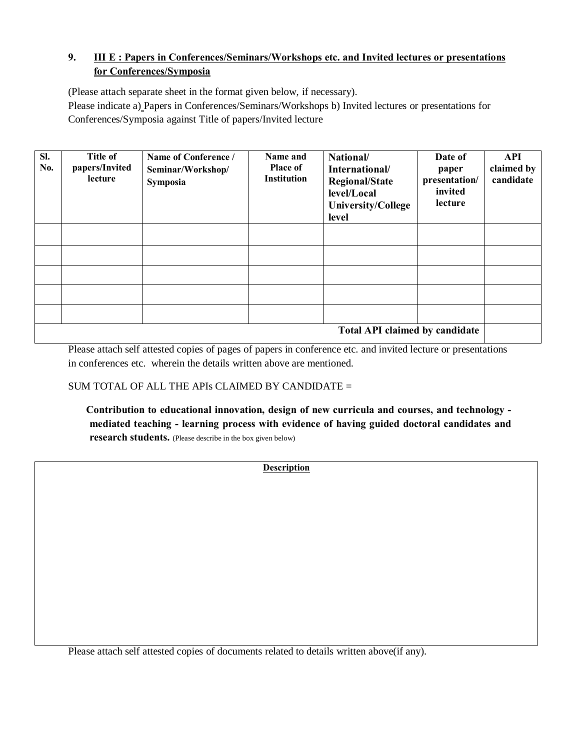# **9. III E : Papers in Conferences/Seminars/Workshops etc. and Invited lectures or presentations for Conferences/Symposia**

(Please attach separate sheet in the format given below, if necessary).

Please indicate a) Papers in Conferences/Seminars/Workshops b) Invited lectures or presentations for Conferences/Symposia against Title of papers/Invited lecture

| SI.<br><b>No.</b>                     | Title of<br>papers/Invited<br>lecture | Name of Conference /<br>Seminar/Workshop/<br>Symposia | Name and<br><b>Place of</b><br><b>Institution</b> | National/<br>International/<br><b>Regional/State</b><br>level/Local<br><b>University/College</b><br>level | Date of<br>paper<br>presentation/<br>invited<br>lecture | API<br>claimed by<br>candidate |
|---------------------------------------|---------------------------------------|-------------------------------------------------------|---------------------------------------------------|-----------------------------------------------------------------------------------------------------------|---------------------------------------------------------|--------------------------------|
|                                       |                                       |                                                       |                                                   |                                                                                                           |                                                         |                                |
|                                       |                                       |                                                       |                                                   |                                                                                                           |                                                         |                                |
|                                       |                                       |                                                       |                                                   |                                                                                                           |                                                         |                                |
|                                       |                                       |                                                       |                                                   |                                                                                                           |                                                         |                                |
|                                       |                                       |                                                       |                                                   |                                                                                                           |                                                         |                                |
| <b>Total API claimed by candidate</b> |                                       |                                                       |                                                   |                                                                                                           |                                                         |                                |

Please attach self attested copies of pages of papers in conference etc. and invited lecture or presentations in conferences etc. wherein the details written above are mentioned.

## SUM TOTAL OF ALL THE APIs CLAIMED BY CANDIDATE =

 **Contribution to educational innovation, design of new curricula and courses, and technology mediated teaching - learning process with evidence of having guided doctoral candidates and research students.** (Please describe in the box given below)

**Description**

Please attach self attested copies of documents related to details written above(if any).